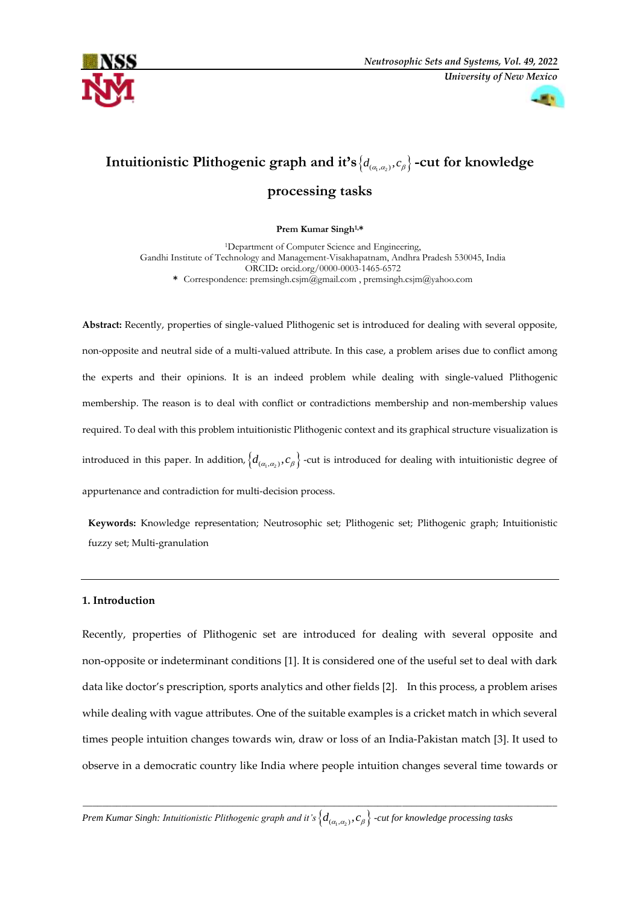



# Intuitionistic Plithogenic graph and it's  $\{d_{(a_i, a_j)}, c_\beta\}$  -cut for knowledge

# **processing tasks**

### **Prem Kumar Singh1,\***

<sup>1</sup>Department of Computer Science and Engineering, Gandhi Institute of Technology and Management-Visakhapatnam, Andhra Pradesh 530045, India ORCID**:** orcid.org/0000-0003-1465-6572 **\*** Correspondence[: premsingh.csjm@gmail.com](mailto:premsingh.csjm@gmail.com) [, premsingh.csjm@yahoo.com](mailto:premsingh.csjm@yahoo.com)

**Abstract:** Recently, properties of single-valued Plithogenic set is introduced for dealing with several opposite, non-opposite and neutral side of a multi-valued attribute. In this case, a problem arises due to conflict among the experts and their opinions. It is an indeed problem while dealing with single-valued Plithogenic membership. The reason is to deal with conflict or contradictions membership and non-membership values required. To deal with this problem intuitionistic Plithogenic context and its graphical structure visualization is introduced in this paper. In addition,  $\big\{d_{(\alpha_1,\alpha_2)},c_\beta\big\}$  -cut is introduced for dealing with intuitionistic degree of appurtenance and contradiction for multi-decision process.

**Keywords:** Knowledge representation; Neutrosophic set; Plithogenic set; Plithogenic graph; Intuitionistic fuzzy set; Multi-granulation

### **1. Introduction**

Recently, properties of Plithogenic set are introduced for dealing with several opposite and non-opposite or indeterminant conditions [1]. It is considered one of the useful set to deal with dark data like doctor's prescription, sports analytics and other fields [2]. In this process, a problem arises while dealing with vague attributes. One of the suitable examples is a cricket match in which several times people intuition changes towards win, draw or loss of an India-Pakistan match [3]. It used to observe in a democratic country like India where people intuition changes several time towards or

\_\_\_\_\_\_\_\_\_\_\_\_\_\_\_\_\_\_\_\_\_\_\_\_\_\_\_\_\_\_\_\_\_\_\_\_\_\_\_\_\_\_\_\_\_\_\_\_\_\_\_\_\_\_\_\_\_\_\_\_\_\_\_\_\_\_\_\_\_\_\_\_\_\_\_\_\_\_\_\_\_\_\_\_\_\_\_\_\_\_\_\_\_\_\_\_\_\_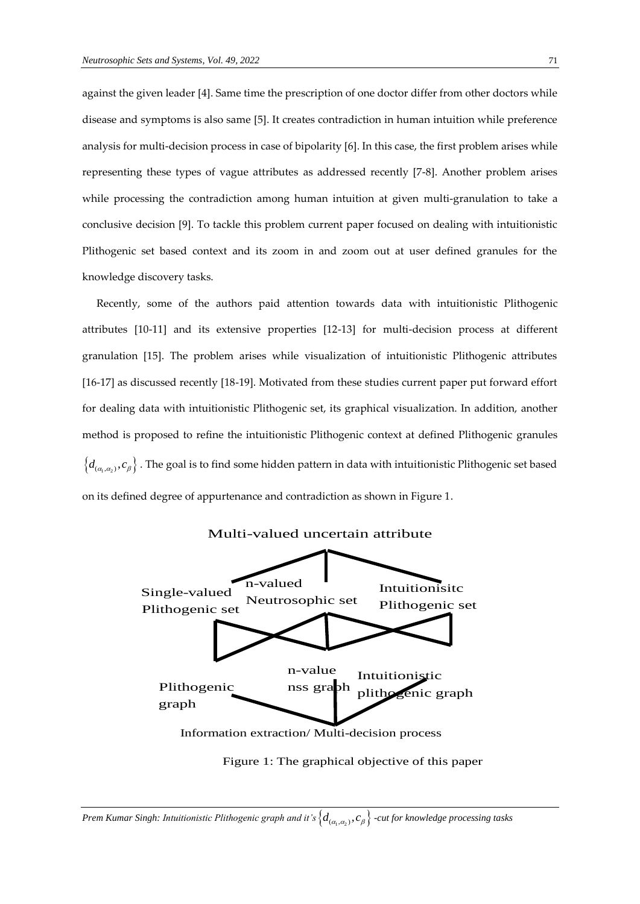against the given leader [4]. Same time the prescription of one doctor differ from other doctors while disease and symptoms is also same [5]. It creates contradiction in human intuition while preference analysis for multi-decision process in case of bipolarity [6]. In this case, the first problem arises while representing these types of vague attributes as addressed recently [7-8]. Another problem arises while processing the contradiction among human intuition at given multi-granulation to take a conclusive decision [9]. To tackle this problem current paper focused on dealing with intuitionistic Plithogenic set based context and its zoom in and zoom out at user defined granules for the knowledge discovery tasks.

 Recently, some of the authors paid attention towards data with intuitionistic Plithogenic attributes [10-11] and its extensive properties [12-13] for multi-decision process at different granulation [15]. The problem arises while visualization of intuitionistic Plithogenic attributes [16-17] as discussed recently [18-19]. Motivated from these studies current paper put forward effort for dealing data with intuitionistic Plithogenic set, its graphical visualization. In addition, another method is proposed to refine the intuitionistic Plithogenic context at defined Plithogenic granules  $\big\{d_{(\alpha_1,\alpha_2)},c_\beta\big\}$  . The goal is to find some hidden pattern in data with intuitionistic Plithogenic set based on its defined degree of appurtenance and contradiction as shown in Figure 1.



Figure 1: The graphical objective of this paper

 $P$ rem Kumar Singh: Intuitionistic Plithogenic graph and it's  $\big\{d_{(\alpha_1,\alpha_2)},c_\beta\big\}$  -cut for knowledge processing tasks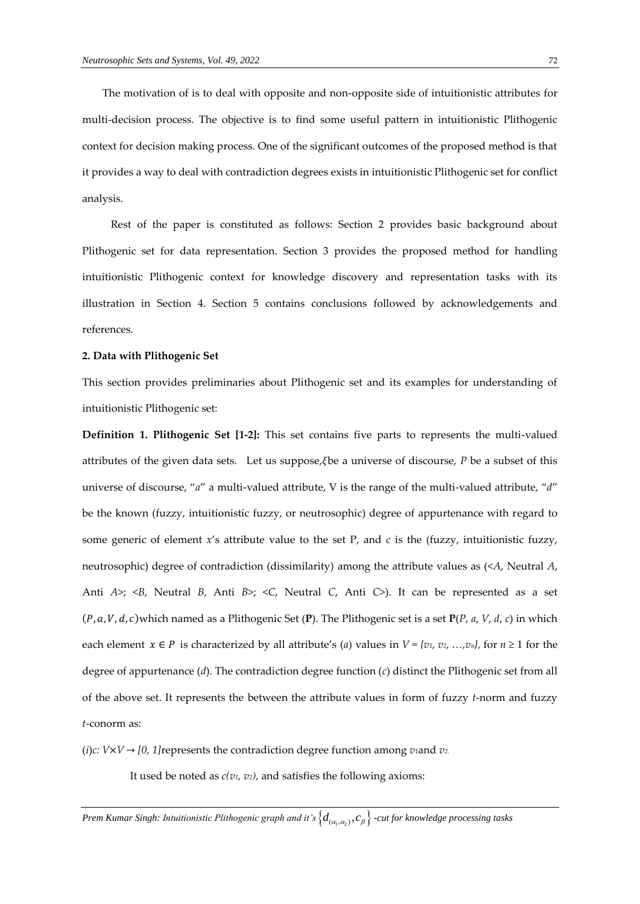The motivation of is to deal with opposite and non-opposite side of intuitionistic attributes for multi-decision process. The objective is to find some useful pattern in intuitionistic Plithogenic context for decision making process. One of the significant outcomes of the proposed method is that it provides a way to deal with contradiction degrees exists in intuitionistic Plithogenic set for conflict analysis.

 Rest of the paper is constituted as follows: Section 2 provides basic background about Plithogenic set for data representation. Section 3 provides the proposed method for handling intuitionistic Plithogenic context for knowledge discovery and representation tasks with its illustration in Section 4. Section 5 contains conclusions followed by acknowledgements and references.

### **2. Data with Plithogenic Set**

This section provides preliminaries about Plithogenic set and its examples for understanding of intuitionistic Plithogenic set:

**Definition 1. Plithogenic Set [1-2]:** This set contains five parts to represents the multi-valued attributes of the given data sets. Let us suppose, §be a universe of discourse, *P* be a subset of this universe of discourse, "*a*" a multi-valued attribute, V is the range of the multi-valued attribute, "*d*" be the known (fuzzy, intuitionistic fuzzy, or neutrosophic) degree of appurtenance with regard to some generic of element  $x$ 's attribute value to the set P, and  $c$  is the (fuzzy, intuitionistic fuzzy, neutrosophic) degree of contradiction (dissimilarity) among the attribute values as (<*A*, Neutral *A*, Anti *A*>; <*B*, Neutral *B*, Anti *B*>; <*C*, Neutral *C*, Anti *C*>). It can be represented as a set (P, a, V, d, c)which named as a Plithogenic Set (P). The Plithogenic set is a set  $P(P, a, V, d, c)$  in which each element  $x \in P$  is characterized by all attribute's (*a*) values in  $V = \{v_1, v_2, ..., v_n\}$ , for  $n \ge 1$  for the degree of appurtenance (*d*). The contradiction degree function (*c*) distinct the Plithogenic set from all of the above set. It represents the between the attribute values in form of fuzzy *t*-norm and fuzzy *t*-conorm as:

(*i*) $c: V \times V \rightarrow [0, 1]$ represents the contradiction degree function among *v*<sub>1</sub>and *v*<sub>2</sub>.

It used be noted as *c(v1, v2),* and satisfies the following axioms: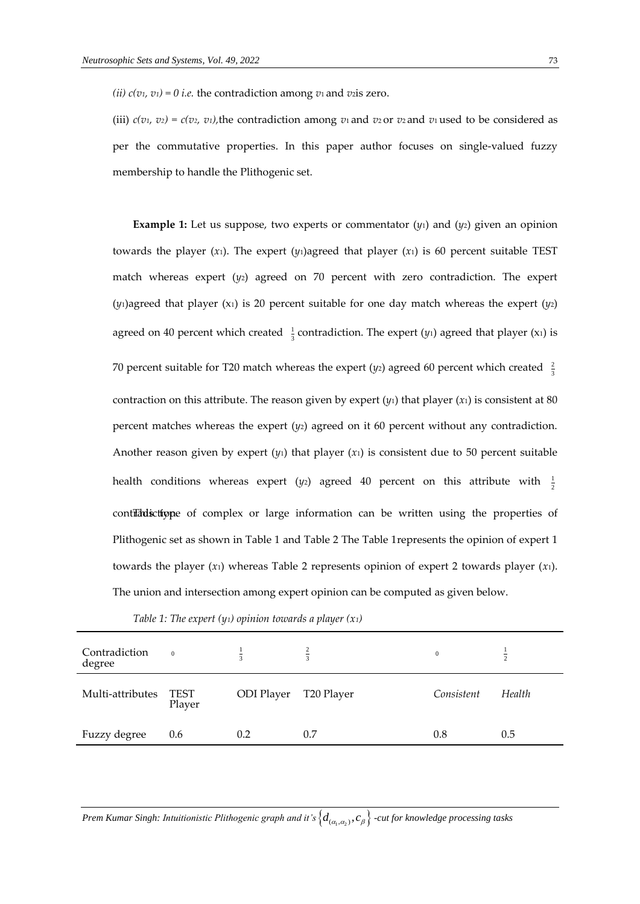*(ii)*  $c(v_1, v_1) = 0$  *i.e.* the contradiction among  $v_1$  and  $v_2$  is zero.

(iii)  $c(v_1, v_2) = c(v_2, v_1)$ , the contradiction among  $v_1$  and  $v_2$  or  $v_2$  and  $v_1$  used to be considered as per the commutative properties. In this paper author focuses on single-valued fuzzy membership to handle the Plithogenic set.

**Example 1:** Let us suppose, two experts or commentator (*y*1) and (*y*2) given an opinion towards the player  $(x_1)$ . The expert  $(y_1)$ agreed that player  $(x_1)$  is 60 percent suitable TEST match whereas expert  $(y_2)$  agreed on 70 percent with zero contradiction. The expert  $(y_1)$ agreed that player  $(x_1)$  is 20 percent suitable for one day match whereas the expert  $(y_2)$ agreed on 40 percent which created  $\frac{1}{3}$  $\frac{1}{3}$  contradiction. The expert  $(y_1)$  agreed that player  $(x_1)$  is 70 percent suitable for T20 match whereas the expert ( $y_2$ ) agreed 60 percent which created  $\frac{2}{3}$ 3 contraction on this attribute. The reason given by expert  $(y_1)$  that player  $(x_1)$  is consistent at 80 percent matches whereas the expert (*y*2) agreed on it 60 percent without any contradiction. Another reason given by expert  $(y_1)$  that player  $(x_1)$  is consistent due to 50 percent suitable health conditions whereas expert (y<sub>2</sub>) agreed 40 percent on this attribute with  $\frac{1}{2}$ 2 contradictione of complex or large information can be written using the properties of Plithogenic set as shown in Table 1 and Table 2 The Table 1represents the opinion of expert 1 towards the player (*x*1) whereas Table 2 represents opinion of expert 2 towards player (*x*1). The union and intersection among expert opinion can be computed as given below.

| Contradiction<br>degree | $\overline{0}$        | $\overline{a}$ | $\frac{2}{3}$ | $\mathbf{0}$ | $\overline{a}$ |
|-------------------------|-----------------------|----------------|---------------|--------------|----------------|
| Multi-attributes        | <b>TEST</b><br>Player | ODI Player     | T20 Player    | Consistent   | Health         |
| Fuzzy degree            | 0.6                   | 0.2            | 0.7           | 0.8          | 0.5            |

*Table 1: The expert (y1) opinion towards a player (x1)*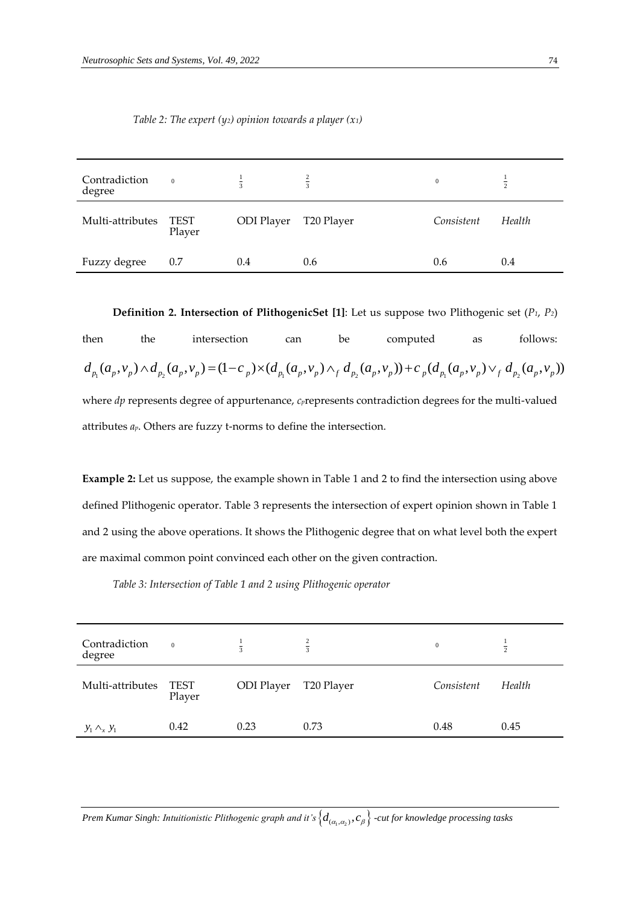| Contradiction<br>degree | $\overline{0}$        | $\overline{a}$    | $rac{2}{3}$ | $\bf{0}$   | $\overline{2}$ |
|-------------------------|-----------------------|-------------------|-------------|------------|----------------|
| Multi-attributes        | <b>TEST</b><br>Player | <b>ODI</b> Player | T20 Player  | Consistent | Health         |
| Fuzzy degree            | 0.7                   | 0.4               | 0.6         | 0.6        | 0.4            |

*Table 2: The expert (y2) opinion towards a player (x1)*

**Definition 2. Intersection of PlithogenicSet [1]**: Let us suppose two Plithogenic set (*P1*, *P2*)

then the intersection can be computed as follows: **100 1 Definition 2. Intersection of PlithogenicSet [1]: Let us suppose two Plithogenic set**  $(P_1, P_2)$ **<br>then the intersection can be computed as follows:<br>d\_{p\_1}(a\_p, v\_p) \wedge d\_{p\_2}(a\_p, v\_p) = (1 - c\_p) \times (d\_{p\_1}(a\_p, v\_p) \wedge\_f d\_{p\_2}(a\_p, v\_p))** where *dp* represents degree of appurtenance, *c*<sub>*p*</sub>represents contradiction degrees for the multi-valued attributes *ap*. Others are fuzzy t-norms to define the intersection.

**Example 2:** Let us suppose, the example shown in Table 1 and 2 to find the intersection using above defined Plithogenic operator. Table 3 represents the intersection of expert opinion shown in Table 1 and 2 using the above operations. It shows the Plithogenic degree that on what level both the expert are maximal common point convinced each other on the given contraction.

*Table 3: Intersection of Table 1 and 2 using Plithogenic operator* 

| Contradiction<br>degree | $\overline{0}$ |            | $\overline{a}$ | $\mathbf{0}$ | $\overline{\overline{2}}$ |
|-------------------------|----------------|------------|----------------|--------------|---------------------------|
| Multi-attributes        | TEST<br>Player | ODI Player | T20 Player     | Consistent   | Health                    |
| $y_1 \wedge_x y_1$      | 0.42           | 0.23       | 0.73           | 0.48         | 0.45                      |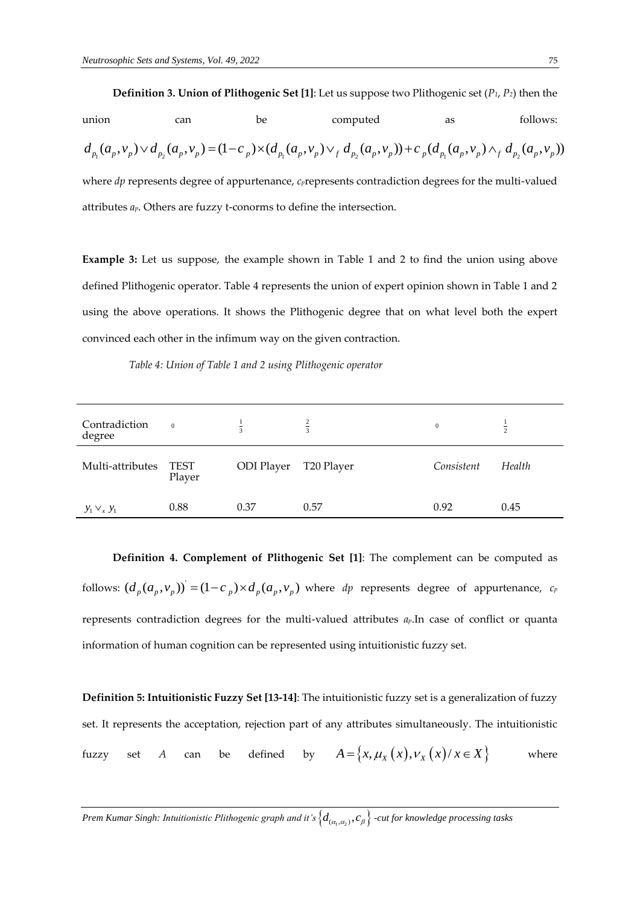

**Example 3:** Let us suppose, the example shown in Table 1 and 2 to find the union using above defined Plithogenic operator. Table 4 represents the union of expert opinion shown in Table 1 and 2 using the above operations. It shows the Plithogenic degree that on what level both the expert convinced each other in the infimum way on the given contraction.

 *Table 4: Union of Table 1 and 2 using Plithogenic operator* 

| Contradiction<br>degree | $\overline{0}$        |            | $\frac{2}{3}$ | $\mathbf{0}$ | $\overline{a}$ |
|-------------------------|-----------------------|------------|---------------|--------------|----------------|
| Multi-attributes        | <b>TEST</b><br>Player | ODI Player | T20 Player    | Consistent   | Health         |
| $y_1 \vee_x y_1$        | 0.88                  | 0.37       | 0.57          | 0.92         | 0.45           |

**Definition 4. Complement of Plithogenic Set [1]**: The complement can be computed as follows:  $(d_n(a_n,v_n))$  $(d_p(a_p, v_p))$  =  $(1-c_p) \times d_p(a_p, v_p)$  where *dp* represents degree of appurtenance, *c<sub>p</sub>* represents contradiction degrees for the multi-valued attributes *ap*.In case of conflict or quanta information of human cognition can be represented using intuitionistic fuzzy set.

**Definition 5: Intuitionistic Fuzzy Set [13-14]**: The intuitionistic fuzzy set is a generalization of fuzzy set. It represents the acceptation, rejection part of any attributes simultaneously. The intuitionistic fuzzy set *A* can be defined by  $A = \{x, \mu_X(x), \nu_X(x) / x \in X\}$  where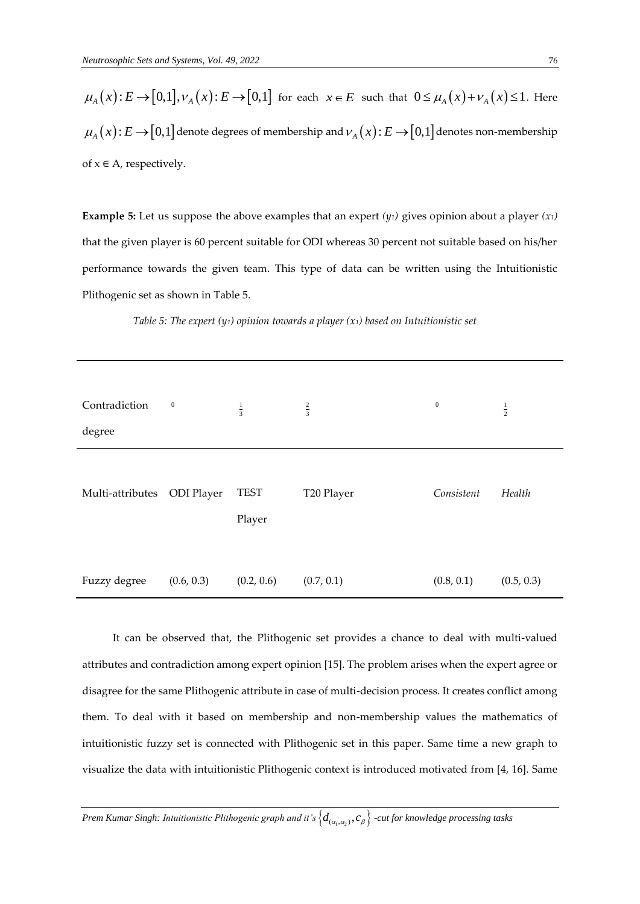$\mu_A(x): E \to [0,1], \nu_A(x): E \to [0,1]$  for each  $x \in E$  such that  $0 \le \mu_A(x) + \nu_A(x) \le 1$ . Here  $\mu_A(x)$ :  $E \to [0,1]$  denote degrees of membership and  $\nu_A(x)$ :  $E \to [0,1]$  denotes non-membership of  $x \in A$ , respectively.

**Example 5:** Let us suppose the above examples that an expert  $(y_1)$  gives opinion about a player  $(x_1)$ that the given player is 60 percent suitable for ODI whereas 30 percent not suitable based on his/her performance towards the given team. This type of data can be written using the Intuitionistic Plithogenic set as shown in Table 5.

| Contradiction<br>degree | $\boldsymbol{0}$  | $\frac{1}{3}$         | $rac{2}{3}$ | $\boldsymbol{0}$ | $\frac{1}{2}$ |
|-------------------------|-------------------|-----------------------|-------------|------------------|---------------|
| Multi-attributes        | <b>ODI</b> Player | <b>TEST</b><br>Player | T20 Player  | Consistent       | Health        |
| Fuzzy degree            | (0.6, 0.3)        | (0.2, 0.6)            | (0.7, 0.1)  | (0.8, 0.1)       | (0.5, 0.3)    |

*Table 5: The expert (y1) opinion towards a player (x1) based on Intuitionistic set*

It can be observed that, the Plithogenic set provides a chance to deal with multi-valued attributes and contradiction among expert opinion [15]. The problem arises when the expert agree or disagree for the same Plithogenic attribute in case of multi-decision process. It creates conflict among them. To deal with it based on membership and non-membership values the mathematics of intuitionistic fuzzy set is connected with Plithogenic set in this paper. Same time a new graph to visualize the data with intuitionistic Plithogenic context is introduced motivated from [4, 16]. Same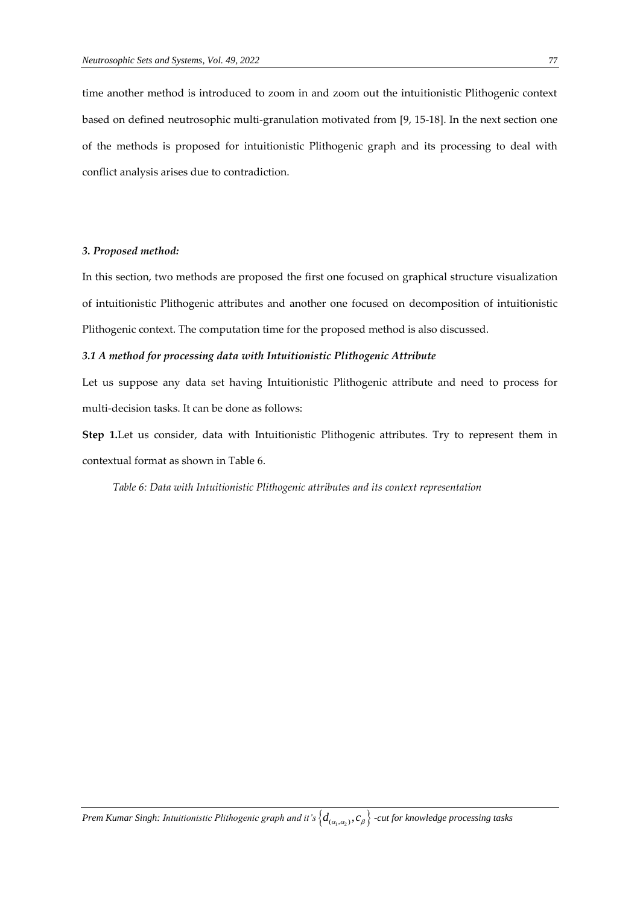time another method is introduced to zoom in and zoom out the intuitionistic Plithogenic context based on defined neutrosophic multi-granulation motivated from [9, 15-18]. In the next section one of the methods is proposed for intuitionistic Plithogenic graph and its processing to deal with conflict analysis arises due to contradiction.

### *3. Proposed method:*

In this section, two methods are proposed the first one focused on graphical structure visualization of intuitionistic Plithogenic attributes and another one focused on decomposition of intuitionistic Plithogenic context. The computation time for the proposed method is also discussed.

# *3.1 A method for processing data with Intuitionistic Plithogenic Attribute*

Let us suppose any data set having Intuitionistic Plithogenic attribute and need to process for multi-decision tasks. It can be done as follows:

**Step 1.**Let us consider, data with Intuitionistic Plithogenic attributes. Try to represent them in contextual format as shown in Table 6.

*Table 6: Data with Intuitionistic Plithogenic attributes and its context representation*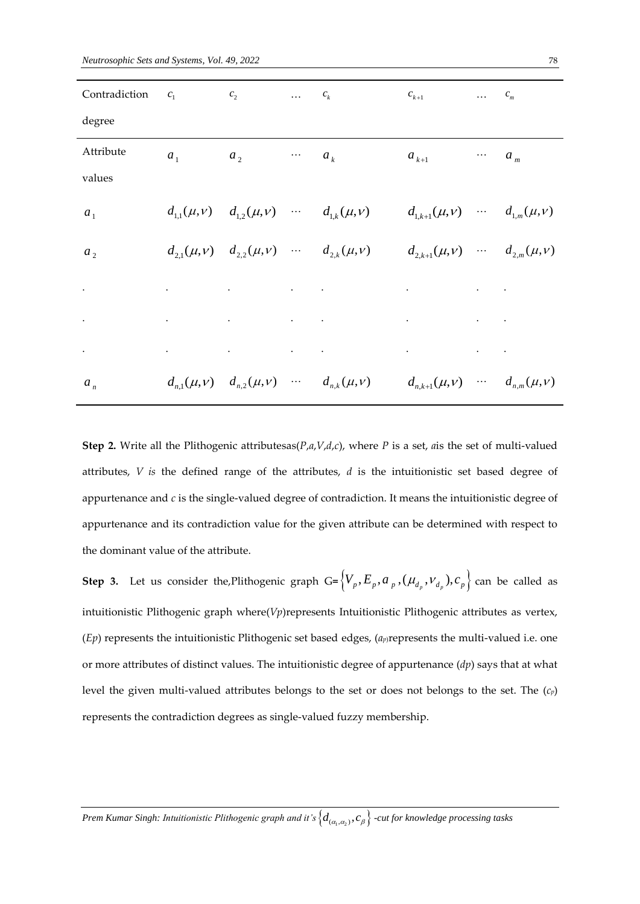| Contradiction $c_1$ $c_2$ |             |                                                                                                                           | $\ldots$ $c_k$ |                                                                                                                                                                                                                                    | $c_{k+1}$                                                      | $\ldots$ $c_m$ |                                               |
|---------------------------|-------------|---------------------------------------------------------------------------------------------------------------------------|----------------|------------------------------------------------------------------------------------------------------------------------------------------------------------------------------------------------------------------------------------|----------------------------------------------------------------|----------------|-----------------------------------------------|
| degree                    |             |                                                                                                                           |                |                                                                                                                                                                                                                                    |                                                                |                |                                               |
| Attribute                 | $a_1$ $a_2$ |                                                                                                                           | $\cdots$ $a_k$ |                                                                                                                                                                                                                                    | $a_{k+1}$                                                      |                | $\cdots$ $a_m$                                |
| values                    |             |                                                                                                                           |                |                                                                                                                                                                                                                                    |                                                                |                |                                               |
| a <sub>1</sub>            |             | $d_{1,1}(\mu, v)$ $d_{1,2}(\mu, v)$ $d_{1,k}(\mu, v)$                                                                     |                |                                                                                                                                                                                                                                    | $d_{1,k+1}(\mu, v)$ $d_{1,m}(\mu, v)$                          |                |                                               |
| a <sub>2</sub>            |             | $d_{2,1}(\mu, v)$ $d_{2,2}(\mu, v)$ $d_{2,k}(\mu, v)$                                                                     |                |                                                                                                                                                                                                                                    | $d_{2,k+1}(\mu, v)$ $d_{2,m}(\mu, v)$                          |                |                                               |
| $\bullet$                 |             | $\mathbf{A}$ and $\mathbf{A}$ are the set of the set of the set of the set of the set of the set of the $\mathbf{A}$      |                |                                                                                                                                                                                                                                    | $\bullet$ . The second contract of $\mathcal{O}(\mathbb{R}^d)$ |                | $\mathbf{r} = \mathbf{r} \times \mathbf{r}$ . |
| $\Box$                    |             |                                                                                                                           |                | $\mathcal{A}$ and the set of the set of the set of the set of the set of the set of the set of the set of the set of the set of the set of the set of the set of the set of the set of the set of the set of the set of the set of |                                                                |                |                                               |
| $\bullet$                 |             | $\mathbf{u}^{\prime}$ , and the same proposition of the same proposition of the same proposition of $\mathbf{u}^{\prime}$ |                |                                                                                                                                                                                                                                    | the contract of the contract of the contract of                |                |                                               |
| $a_n$                     |             | $d_{n,1}(\mu, \nu)$ $d_{n,2}(\mu, \nu)$ $d_{n,k}(\mu, \nu)$                                                               |                |                                                                                                                                                                                                                                    | $d_{n,k+1}(\mu,\nu)$ $d_{n,m}(\mu,\nu)$                        |                |                                               |

**Step 2.** Write all the Plithogenic attributesas( $P$ , $a$ , $V$ , $d$ , $c$ ), where *P* is a set, *a*is the set of multi-valued attributes, *V is* the defined range of the attributes, *d* is the intuitionistic set based degree of appurtenance and *c* is the single-valued degree of contradiction. It means the intuitionistic degree of appurtenance and its contradiction value for the given attribute can be determined with respect to the dominant value of the attribute.

**Step 3.** Let us consider the,Plithogenic graph  $G = \{V_p, E_p, a_p, (\mu_{d_p}, v_{d_p}), c_p\}$  can be called as intuitionistic Plithogenic graph where(*Vp*)represents Intuitionistic Plithogenic attributes as vertex, (*Ep*) represents the intuitionistic Plithogenic set based edges, (*ap*)represents the multi-valued i.e. one or more attributes of distinct values. The intuitionistic degree of appurtenance (*dp*) says that at what level the given multi-valued attributes belongs to the set or does not belongs to the set. The (*cp*) represents the contradiction degrees as single-valued fuzzy membership.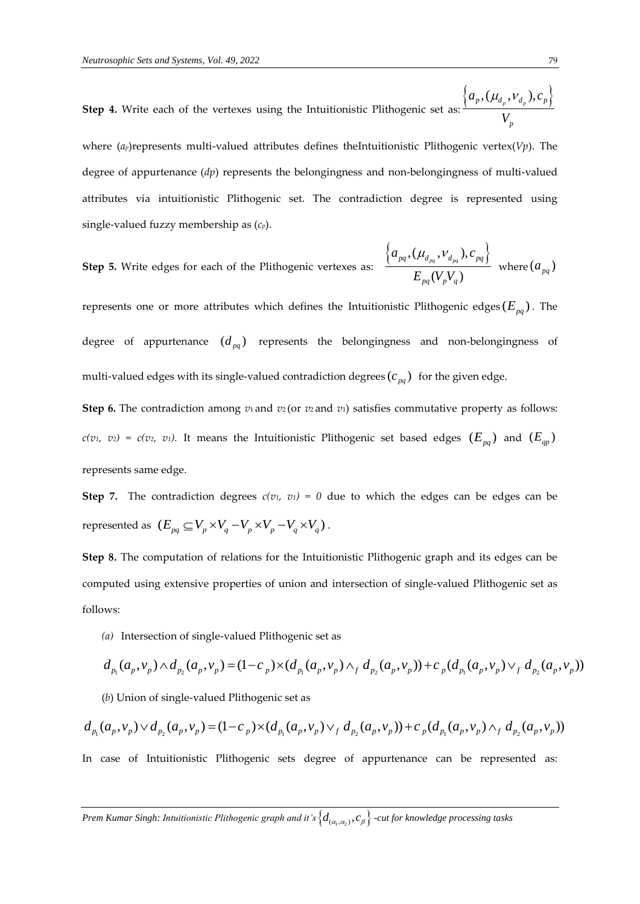**Step 4.** Write each of the vertexes using the Intuitionistic Plithogenic set as:  $\left\{ a_{_{p}},(\mu _{_{d_{p}}},\nu _{_{d_{p}}}),c_{_{p}}\right\}$ *p V*  $\mu_d^{\,}$ , $\mu_d^{\,}$ 

where (*a<sub>p</sub>*)represents multi-valued attributes defines theIntuitionistic Plithogenic vertex(*Vp*). The degree of appurtenance (*dp*) represents the belongingness and non-belongingness of multi-valued attributes via intuitionistic Plithogenic set. The contradiction degree is represented using single-valued fuzzy membership as (*cp*).

**Step 5.** Write edges for each of the Plithogenic vertexes as:

$$
\frac{\left\{a_{_{pq}},(\mu_{d_{_{pq}}},\nu_{_{d_{_{pq}}}}),c_{_{pq}}\right\}}{E_{_{pq}}(V_{_{p}}V_{_{q}})} \ \ \text{where} \ (a_{_{pq}})
$$

represents one or more attributes which defines the Intuitionistic Plithogenic edges  $(E_{pq})$ . The degree of appurtenance  $(d_{pq})$  represents the belongingness and non-belongingness of multi-valued edges with its single-valued contradiction degrees  $(c_{pq})$  for the given edge.

**Step 6.** The contradiction among  $v_1$  and  $v_2$  (or  $v_2$  and  $v_1$ ) satisfies commutative property as follows:  $c(v_1, v_2) = c(v_2, v_1)$ . It means the Intuitionistic Plithogenic set based edges  $(E_{pq})$  and  $(E_{qp})$ represents same edge.

**Step 7.** The contradiction degrees  $c(v_1, v_1) = 0$  due to which the edges can be edges can be represented as  $(E_{pq} \subseteq V_p \times V_q - V_p \times V_p - V_q \times V_q)$ .

**Step 8.** The computation of relations for the Intuitionistic Plithogenic graph and its edges can be computed using extensive properties of union and intersection of single-valued Plithogenic set as follows:

*(a)* Intersection of single-valued Plithogenic set as

follows:  
\n(a) Intersection of single-valued Plithogenic set as  
\n
$$
d_{p_1}(a_p, v_p) \wedge d_{p_2}(a_p, v_p) = (1 - c_p) \times (d_{p_1}(a_p, v_p) \wedge_f d_{p_2}(a_p, v_p)) + c_p (d_{p_1}(a_p, v_p) \vee_f d_{p_2}(a_p, v_p))
$$
\n(b) Union of single-valued Plithogenic set as  
\n
$$
d_{p_1}(a_p, v_p) \vee d_{p_2}(a_p, v_p) = (1 - c_p) \times (d_{p_1}(a_p, v_p) \vee_f d_{p_2}(a_p, v_p)) + c_p (d_{p_1}(a_p, v_p) \wedge_f d_{p_2}(a_p, v_p))
$$

(*b*) Union of single-valued Plithogenic set as

$$
d_{p_1}(a_p, v_p) \vee d_{p_2}(a_p, v_p) = (1 - c_p) \times (d_{p_1}(a_p, v_p) \vee_f d_{p_2}(a_p, v_p)) + c_p(d_{p_1}(a_p, v_p) \wedge_f d_{p_2}(a_p, v_p))
$$

In case of Intuitionistic Plithogenic sets degree of appurtenance can be represented as: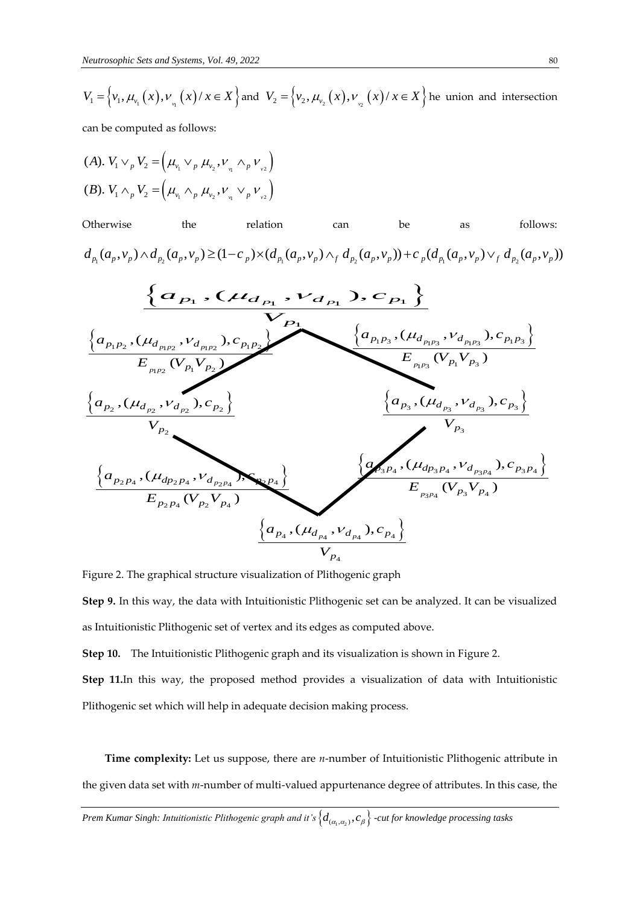$$
V_1 = \left\{ v_1, \mu_{v_1}(x), v_{v_1}(x) / x \in X \right\} \text{ and } V_2 = \left\{ v_2, \mu_{v_2}(x), v_{v_2}(x) / x \in X \right\} \text{ he union and intersection}
$$

can be computed as follows:

(A). 
$$
V_1 \vee_p V_2 = (\mu_{v_1} \vee_p \mu_{v_2}, \nu_{v_1} \wedge_p \nu_{v_2})
$$
  
\n(B).  $V_1 \wedge_p V_2 = (\mu_{v_1} \wedge_p \mu_{v_2}, \nu_{v_1} \vee_p \nu_{v_2})$ 





Figure 2. The graphical structure visualization of Plithogenic graph

**Step 9.** In this way, the data with Intuitionistic Plithogenic set can be analyzed. It can be visualized as Intuitionistic Plithogenic set of vertex and its edges as computed above.

**Step 10.** The Intuitionistic Plithogenic graph and its visualization is shown in Figure 2.

**Step 11.**In this way, the proposed method provides a visualization of data with Intuitionistic Plithogenic set which will help in adequate decision making process.

**Time complexity:** Let us suppose, there are *n*-number of Intuitionistic Plithogenic attribute in the given data set with *m*-number of multi-valued appurtenance degree of attributes. In this case, the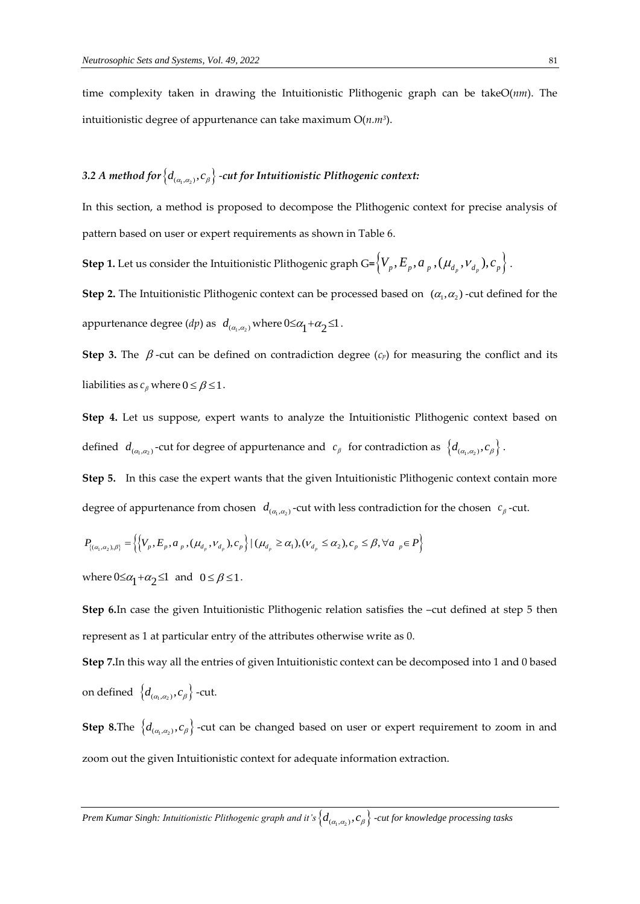time complexity taken in drawing the Intuitionistic Plithogenic graph can be takeO(*nm*). The intuitionistic degree of appurtenance can take maximum O(*n.m<sup>3</sup>* ).

# 3.2 A method for  $\left\{d_{_{(\alpha_{\rm i},\alpha_{\rm 2})}},c_{_\beta}\right\}$  -cut for Intuitionistic Plithogenic context:

In this section, a method is proposed to decompose the Plithogenic context for precise analysis of pattern based on user or expert requirements as shown in Table 6.

 $\textsf{Step 1.}$  Let us consider the Intuitionistic Plithogenic graph G=  $\left\{V_{_p}, E_{_p}, a_{_{p}}, (\mu_{_{d_{_p}}}, \nu_{_{d_{_p}}}), c_{_{p}}\right\}$  .

**Step 2.** The Intuitionistic Plithogenic context can be processed based on  $(\alpha_1, \alpha_2)$  -cut defined for the appurtenance degree  $(dp)$  as  $d_{(\alpha_1,\alpha_2)}$  where  $0 \leq \alpha_1 + \alpha_2 \leq 1$ .

**Step 3.** The  $\beta$ -cut can be defined on contradiction degree ( $c_p$ ) for measuring the conflict and its liabilities as  $c_\beta$  where  $0 \le \beta \le 1$ .

**Step 4.** Let us suppose, expert wants to analyze the Intuitionistic Plithogenic context based on defined  $d_{(\alpha_1,\alpha_2)}$ -cut for degree of appurtenance and  $c_\beta$  for contradiction as  $\{d_{(\alpha_1,\alpha_2)},c_\beta\}$ .

**Step 5.** In this case the expert wants that the given Intuitionistic Plithogenic context contain more

degree of approximate from chosen 
$$
d_{(\alpha_1,\alpha_2)}
$$
-cut with less contradiction for the chosen  $c_\beta$ -cut.  
\n
$$
P_{\{(\alpha_1,\alpha_2),\beta\}} = \left\{ \left\{ V_p, E_p, a_p, (\mu_{d_p}, V_{d_p}), c_p \right\} \mid (\mu_{d_p} \ge \alpha_1), (V_{d_p} \le \alpha_2), c_p \le \beta, \forall a_p \in P \right\}
$$

where  $0 \leq \alpha_1 + \alpha_2 \leq 1$  and  $0 \leq \beta \leq 1$ .

**Step 6.**In case the given Intuitionistic Plithogenic relation satisfies the –cut defined at step 5 then represent as 1 at particular entry of the attributes otherwise write as 0.

**Step 7.**In this way all the entries of given Intuitionistic context can be decomposed into 1 and 0 based on defined  $\left\{d_{_{(\alpha_{_{1},\alpha_{_{2}})}},c_{_{\beta}}}\right\}$  -cut.

**Step 8.**The  $\{d_{(\alpha_1,\alpha_2)},c_\beta\}$  -cut can be changed based on user or expert requirement to zoom in and zoom out the given Intuitionistic context for adequate information extraction.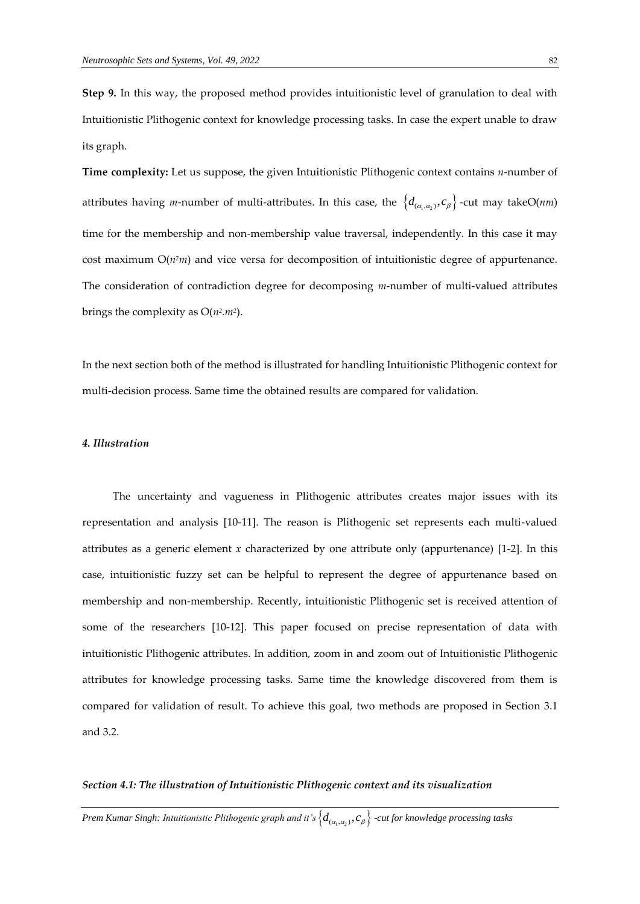**Step 9.** In this way, the proposed method provides intuitionistic level of granulation to deal with Intuitionistic Plithogenic context for knowledge processing tasks. In case the expert unable to draw its graph.

**Time complexity:** Let us suppose, the given Intuitionistic Plithogenic context contains *n*-number of attributes having *m*-number of multi-attributes. In this case, the  $\{d_{(\alpha_1,\alpha_2)}, c_\beta\}$ -cut may takeO(*nm*) time for the membership and non-membership value traversal, independently. In this case it may cost maximum  $O(n^2m)$  and vice versa for decomposition of intuitionistic degree of appurtenance. The consideration of contradiction degree for decomposing *m*-number of multi-valued attributes brings the complexity as O(*n<sup>2</sup> .m<sup>2</sup>* ).

In the next section both of the method is illustrated for handling Intuitionistic Plithogenic context for multi-decision process. Same time the obtained results are compared for validation.

### *4. Illustration*

The uncertainty and vagueness in Plithogenic attributes creates major issues with its representation and analysis [10-11]. The reason is Plithogenic set represents each multi-valued attributes as a generic element  $x$  characterized by one attribute only (appurtenance) [1-2]. In this case, intuitionistic fuzzy set can be helpful to represent the degree of appurtenance based on membership and non-membership. Recently, intuitionistic Plithogenic set is received attention of some of the researchers [10-12]. This paper focused on precise representation of data with intuitionistic Plithogenic attributes. In addition, zoom in and zoom out of Intuitionistic Plithogenic attributes for knowledge processing tasks. Same time the knowledge discovered from them is compared for validation of result. To achieve this goal, two methods are proposed in Section 3.1 and 3.2.

### *Section 4.1: The illustration of Intuitionistic Plithogenic context and its visualization*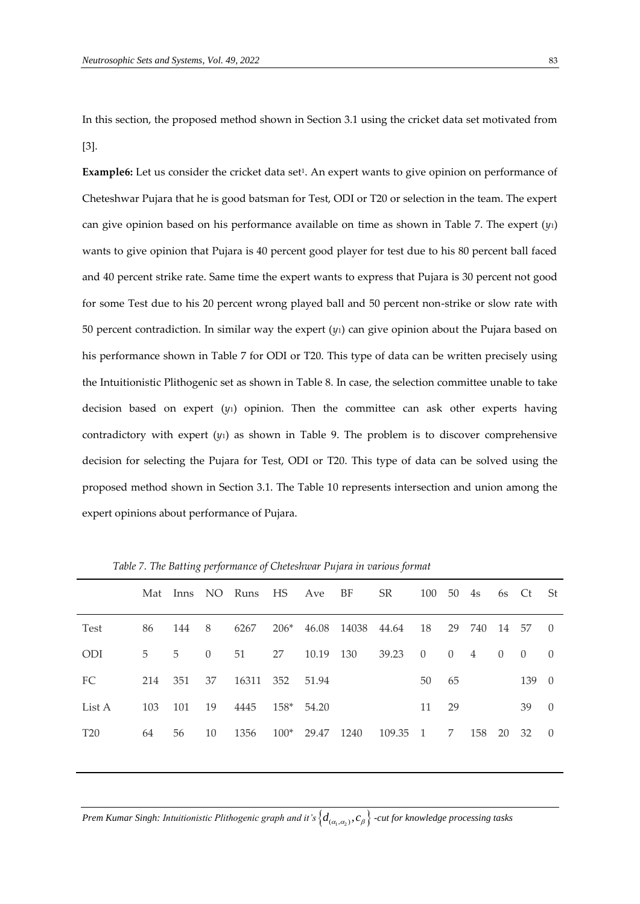In this section, the proposed method shown in Section 3.1 using the cricket data set motivated from [3].

**Example6:** Let us consider the cricket data set<sup>1</sup>. An expert wants to give opinion on performance of Cheteshwar Pujara that he is good batsman for Test, ODI or T20 or selection in the team. The expert can give opinion based on his performance available on time as shown in Table 7. The expert (*y*1) wants to give opinion that Pujara is 40 percent good player for test due to his 80 percent ball faced and 40 percent strike rate. Same time the expert wants to express that Pujara is 30 percent not good for some Test due to his 20 percent wrong played ball and 50 percent non-strike or slow rate with 50 percent contradiction. In similar way the expert (*y*1) can give opinion about the Pujara based on his performance shown in Table 7 for ODI or T20. This type of data can be written precisely using the Intuitionistic Plithogenic set as shown in Table 8. In case, the selection committee unable to take decision based on expert  $(y_1)$  opinion. Then the committee can ask other experts having contradictory with expert (*y*1) as shown in Table 9. The problem is to discover comprehensive decision for selecting the Pujara for Test, ODI or T20. This type of data can be solved using the proposed method shown in Section 3.1. The Table 10 represents intersection and union among the expert opinions about performance of Pujara.

|                 | Mat |     |          | Inns NO Runs | HS     | Ave   | BF               | <b>SR</b> | 100            | 50       | 4s  | 6s       | - Ct     | -St      |
|-----------------|-----|-----|----------|--------------|--------|-------|------------------|-----------|----------------|----------|-----|----------|----------|----------|
| <b>Test</b>     | 86  | 144 | 8        | 6267         |        |       | 206* 46.08 14038 | 44.64     | 18             | 29       | 740 | - 14     | 57       | $\theta$ |
| <b>ODI</b>      | 5   | 5   | $\Omega$ | 51           | 27     | 10.19 | 130              | 39.23     | $\theta$       | $\Omega$ | 4   | $\Omega$ | $\Omega$ | $\Omega$ |
| FC              | 214 | 351 | 37       | 16311        | 352    | 51.94 |                  |           | 50             | 65       |     |          | 139      | $\theta$ |
| List A          | 103 | 101 | 19       | 4445         | $158*$ | 54.20 |                  |           | 11             | 29       |     |          | 39       | $\Omega$ |
| T <sub>20</sub> | 64  | 56  | 10       | 1356         | $100*$ | 29.47 | 1240             | 109.35    | $\overline{1}$ | 7        | 158 | 20       | 32       | - 0      |

*Table 7. The Batting performance of Cheteshwar Pujara in various format*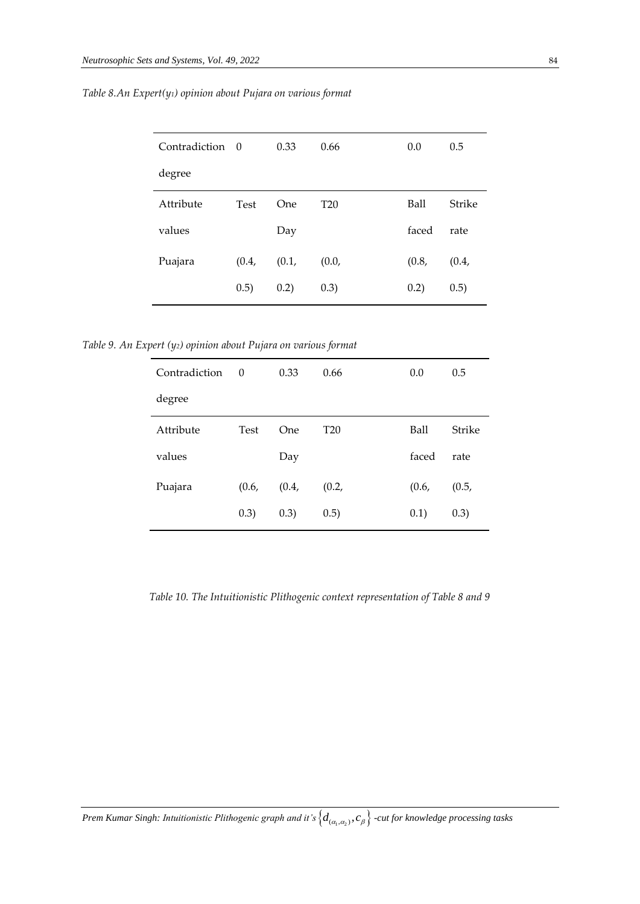| Contradiction 0 |             | 0.33    | 0.66            | 0.0         | 0.5           |
|-----------------|-------------|---------|-----------------|-------------|---------------|
| degree          |             |         |                 |             |               |
| Attribute       | <b>Test</b> | One     | T <sub>20</sub> | <b>Ball</b> | <b>Strike</b> |
| values          |             | Day     |                 | faced       | rate          |
| Puajara         | (0.4, )     | (0.1, ) | (0.0,           | (0.8,       | (0.4, )       |
|                 | (0.5)       | 0.2)    | (0.3)           | 0.2)        | (0.5)         |

*Table 8.An Expert(y1) opinion about Pujara on various format*

*Table 9. An Expert (y2) opinion about Pujara on various format*

| Contradiction | $\Omega$    | 0.33    | 0.66            | 0.0     | 0.5           |
|---------------|-------------|---------|-----------------|---------|---------------|
| degree        |             |         |                 |         |               |
| Attribute     | <b>Test</b> | One     | T <sub>20</sub> | Ball    | <b>Strike</b> |
| values        |             | Day     |                 | faced   | rate          |
| Puajara       | (0.6, )     | (0.4, ) | (0.2,           | (0.6, ) | (0.5,         |
|               | (0.3)       | (0.3)   | (0.5)           | 0.1)    | (0.3)         |
|               |             |         |                 |         |               |

*Table 10. The Intuitionistic Plithogenic context representation of Table 8 and 9*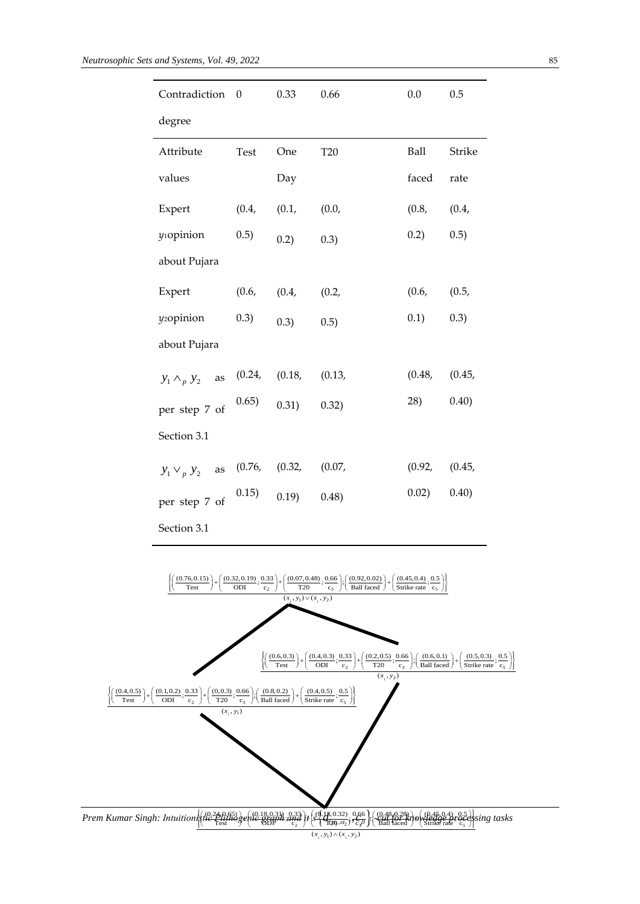| degree<br>Attribute<br>Test<br><b>T20</b><br>Ball<br>One<br>faced rate<br>values<br>Day<br>(0.4,<br>(0.8,<br>(0.4,<br>Expert<br>(0.1,<br>(0.0,<br>yiopinion<br>0.2)<br>0.5)<br>0.5)<br>0.2)<br>0.3)<br>about Pujara<br>(0.4,<br>(0.6,<br>(0.2,<br>(0.6, 0.5,<br>Expert<br>$0.1)$ $0.3)$<br>$(0.3)$ $(0.3)$ $(0.5)$<br>y <sub>2</sub> opinion<br>about Pujara<br>$y_1 \wedge_p y_2$ as (0.24, (0.18, (0.13,<br>(0.48, 0.45,<br>28)<br>0.40)<br>per step 7 of $(0.65)$ 0.31) 0.32)<br>Section 3.1<br>$y_1 \vee_p y_2$ as (0.76, (0.32, (0.07,<br>per step 7 of $(0.15)$ 0.19) 0.48)<br>Section 3.1<br>$\left\{\!\!\left(\frac{(0.76,0.15)}{\mathrm{Test}}\right)\!+\!\left(\frac{(0.32,0.19)}{\mathrm{ODI}};\!\frac{0.33}{c_2}\right)\!+\!\left(\frac{(0.07,0.48)}{\mathrm{T20}};\!\frac{0.66}{c_3}\right)\!\!;\!\left(\frac{(0.92,0.02)}{\mathrm{Ball\,\,faced}}\right)\!+\!\left(\frac{(0.45,0.4)}{\mathrm{Strike\,\,rate}};\!\frac{0.5}{c_5}\right)\!\!\right\}$<br>$(x_1, y_1) \vee (x_1, y_2)$<br>$\left\{\!\!\left(\frac{(0.6,0.3)}{\text{Test}}\right)\!\!+\!\!\left(\frac{(0.4,0.3)}{\text{ODI}};\!\frac{0.33}{c_2}\right)\!\!+\!\!\left(\frac{(0.2,0.5)}{\text{T20}};\!\frac{0.66}{c_3}\right)\!\!:\!\!\left(\frac{(0.6,0.1)}{\text{Ball faced}}\right)\!\!+\!\left(\frac{(0.5,0.3)}{\text{Strike rate}};\!\frac{0.5}{c_5}\right)\!\!\right\}$<br>$(x_1, y_2)$<br>$\left\{\left(\frac{(0.4, 0.5)}{\text{Test}}\right) + \left(\frac{(0.1, 0.2)}{\text{ODI}}; \frac{0.33}{c_2}\right) + \left(\frac{(0, 0.3)}{\text{TOJ}}; \frac{0.66}{c_3}\right); \left(\frac{(0.8, 0.2)}{\text{Ball faced}}\right) + \left(\frac{(0.4, 0.5)}{\text{Strike rate}}; \frac{0.5}{c_5}\right)\right\}$<br>$(x_{1}, y_{1})$ | Strike          |
|----------------------------------------------------------------------------------------------------------------------------------------------------------------------------------------------------------------------------------------------------------------------------------------------------------------------------------------------------------------------------------------------------------------------------------------------------------------------------------------------------------------------------------------------------------------------------------------------------------------------------------------------------------------------------------------------------------------------------------------------------------------------------------------------------------------------------------------------------------------------------------------------------------------------------------------------------------------------------------------------------------------------------------------------------------------------------------------------------------------------------------------------------------------------------------------------------------------------------------------------------------------------------------------------------------------------------------------------------------------------------------------------------------------------------------------------------------------------------------------------------------------------------------------------------------------------------------------------------------------------------------------------------------------------------------------------------------------|-----------------|
|                                                                                                                                                                                                                                                                                                                                                                                                                                                                                                                                                                                                                                                                                                                                                                                                                                                                                                                                                                                                                                                                                                                                                                                                                                                                                                                                                                                                                                                                                                                                                                                                                                                                                                                |                 |
|                                                                                                                                                                                                                                                                                                                                                                                                                                                                                                                                                                                                                                                                                                                                                                                                                                                                                                                                                                                                                                                                                                                                                                                                                                                                                                                                                                                                                                                                                                                                                                                                                                                                                                                |                 |
|                                                                                                                                                                                                                                                                                                                                                                                                                                                                                                                                                                                                                                                                                                                                                                                                                                                                                                                                                                                                                                                                                                                                                                                                                                                                                                                                                                                                                                                                                                                                                                                                                                                                                                                |                 |
|                                                                                                                                                                                                                                                                                                                                                                                                                                                                                                                                                                                                                                                                                                                                                                                                                                                                                                                                                                                                                                                                                                                                                                                                                                                                                                                                                                                                                                                                                                                                                                                                                                                                                                                |                 |
|                                                                                                                                                                                                                                                                                                                                                                                                                                                                                                                                                                                                                                                                                                                                                                                                                                                                                                                                                                                                                                                                                                                                                                                                                                                                                                                                                                                                                                                                                                                                                                                                                                                                                                                |                 |
|                                                                                                                                                                                                                                                                                                                                                                                                                                                                                                                                                                                                                                                                                                                                                                                                                                                                                                                                                                                                                                                                                                                                                                                                                                                                                                                                                                                                                                                                                                                                                                                                                                                                                                                |                 |
|                                                                                                                                                                                                                                                                                                                                                                                                                                                                                                                                                                                                                                                                                                                                                                                                                                                                                                                                                                                                                                                                                                                                                                                                                                                                                                                                                                                                                                                                                                                                                                                                                                                                                                                |                 |
|                                                                                                                                                                                                                                                                                                                                                                                                                                                                                                                                                                                                                                                                                                                                                                                                                                                                                                                                                                                                                                                                                                                                                                                                                                                                                                                                                                                                                                                                                                                                                                                                                                                                                                                |                 |
|                                                                                                                                                                                                                                                                                                                                                                                                                                                                                                                                                                                                                                                                                                                                                                                                                                                                                                                                                                                                                                                                                                                                                                                                                                                                                                                                                                                                                                                                                                                                                                                                                                                                                                                |                 |
|                                                                                                                                                                                                                                                                                                                                                                                                                                                                                                                                                                                                                                                                                                                                                                                                                                                                                                                                                                                                                                                                                                                                                                                                                                                                                                                                                                                                                                                                                                                                                                                                                                                                                                                |                 |
|                                                                                                                                                                                                                                                                                                                                                                                                                                                                                                                                                                                                                                                                                                                                                                                                                                                                                                                                                                                                                                                                                                                                                                                                                                                                                                                                                                                                                                                                                                                                                                                                                                                                                                                | (0.92, 0.45,    |
|                                                                                                                                                                                                                                                                                                                                                                                                                                                                                                                                                                                                                                                                                                                                                                                                                                                                                                                                                                                                                                                                                                                                                                                                                                                                                                                                                                                                                                                                                                                                                                                                                                                                                                                | $0.02)$ $0.40)$ |
|                                                                                                                                                                                                                                                                                                                                                                                                                                                                                                                                                                                                                                                                                                                                                                                                                                                                                                                                                                                                                                                                                                                                                                                                                                                                                                                                                                                                                                                                                                                                                                                                                                                                                                                |                 |
|                                                                                                                                                                                                                                                                                                                                                                                                                                                                                                                                                                                                                                                                                                                                                                                                                                                                                                                                                                                                                                                                                                                                                                                                                                                                                                                                                                                                                                                                                                                                                                                                                                                                                                                |                 |
|                                                                                                                                                                                                                                                                                                                                                                                                                                                                                                                                                                                                                                                                                                                                                                                                                                                                                                                                                                                                                                                                                                                                                                                                                                                                                                                                                                                                                                                                                                                                                                                                                                                                                                                |                 |
|                                                                                                                                                                                                                                                                                                                                                                                                                                                                                                                                                                                                                                                                                                                                                                                                                                                                                                                                                                                                                                                                                                                                                                                                                                                                                                                                                                                                                                                                                                                                                                                                                                                                                                                |                 |
|                                                                                                                                                                                                                                                                                                                                                                                                                                                                                                                                                                                                                                                                                                                                                                                                                                                                                                                                                                                                                                                                                                                                                                                                                                                                                                                                                                                                                                                                                                                                                                                                                                                                                                                |                 |
|                                                                                                                                                                                                                                                                                                                                                                                                                                                                                                                                                                                                                                                                                                                                                                                                                                                                                                                                                                                                                                                                                                                                                                                                                                                                                                                                                                                                                                                                                                                                                                                                                                                                                                                |                 |
|                                                                                                                                                                                                                                                                                                                                                                                                                                                                                                                                                                                                                                                                                                                                                                                                                                                                                                                                                                                                                                                                                                                                                                                                                                                                                                                                                                                                                                                                                                                                                                                                                                                                                                                |                 |
|                                                                                                                                                                                                                                                                                                                                                                                                                                                                                                                                                                                                                                                                                                                                                                                                                                                                                                                                                                                                                                                                                                                                                                                                                                                                                                                                                                                                                                                                                                                                                                                                                                                                                                                |                 |
|                                                                                                                                                                                                                                                                                                                                                                                                                                                                                                                                                                                                                                                                                                                                                                                                                                                                                                                                                                                                                                                                                                                                                                                                                                                                                                                                                                                                                                                                                                                                                                                                                                                                                                                |                 |
|                                                                                                                                                                                                                                                                                                                                                                                                                                                                                                                                                                                                                                                                                                                                                                                                                                                                                                                                                                                                                                                                                                                                                                                                                                                                                                                                                                                                                                                                                                                                                                                                                                                                                                                |                 |
| $Kumar\ Singh: Intuition(\{10, 26, 0.45, 0.4\}\{10, 0.45, 0.4\}\{10, 0.45, 0.4\}\{11, 0.45, 0.4\}\{11, 0.45, 0.4\}\{12, 0.45, 0.4\}\{13, 0.45, 0.4\}\{14, 0.45, 0.4\}\{16, 0.45, 0.4\}\{17, 0.45, 0.4\}\{18, 0.45, 0.4\}\{19, 0.45, 0.4\}\{19, 0.45, 0.4\}\$<br>$(x_{1}, y_{1}) \wedge (x_{1}, y_{2})$                                                                                                                                                                                                                                                                                                                                                                                                                                                                                                                                                                                                                                                                                                                                                                                                                                                                                                                                                                                                                                                                                                                                                                                                                                                                                                                                                                                                         |                 |

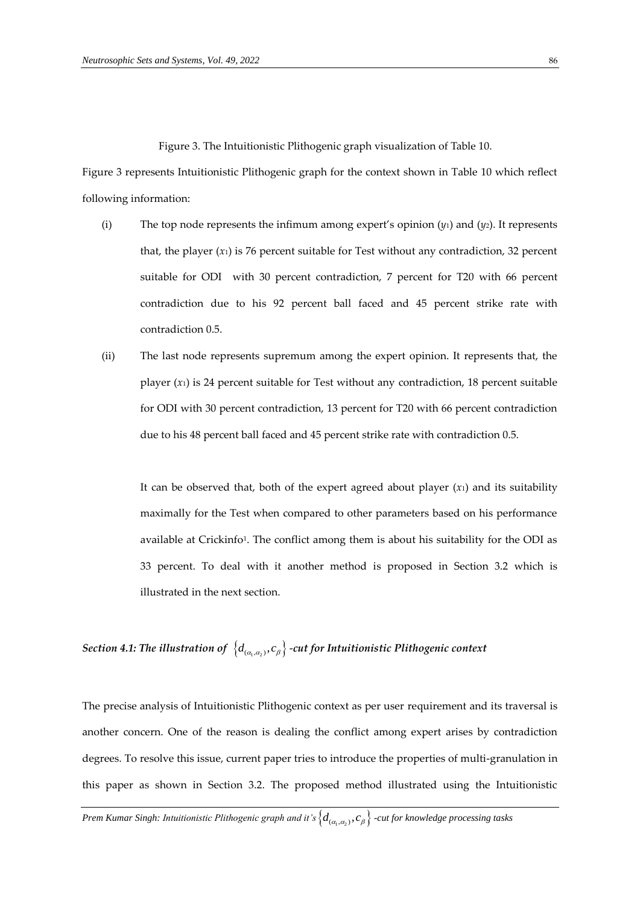Figure 3. The Intuitionistic Plithogenic graph visualization of Table 10.

Figure 3 represents Intuitionistic Plithogenic graph for the context shown in Table 10 which reflect following information:

- (i) The top node represents the infimum among expert's opinion (*y*1) and (*y*2). It represents that, the player  $(x_1)$  is 76 percent suitable for Test without any contradiction, 32 percent suitable for ODI with 30 percent contradiction, 7 percent for T20 with 66 percent contradiction due to his 92 percent ball faced and 45 percent strike rate with contradiction 0.5.
- (ii) The last node represents supremum among the expert opinion. It represents that, the player  $(x_1)$  is 24 percent suitable for Test without any contradiction, 18 percent suitable for ODI with 30 percent contradiction, 13 percent for T20 with 66 percent contradiction due to his 48 percent ball faced and 45 percent strike rate with contradiction 0.5.

It can be observed that, both of the expert agreed about player  $(x_1)$  and its suitability maximally for the Test when compared to other parameters based on his performance available at Crickinfo<sup>1</sup>. The conflict among them is about his suitability for the ODI as 33 percent. To deal with it another method is proposed in Section 3.2 which is illustrated in the next section.

# Section 4.1: The illustration of  $\left\{d_{(\alpha_1,\alpha_2)}, c_\beta\right\}$  -cut for Intuitionistic Plithogenic context

The precise analysis of Intuitionistic Plithogenic context as per user requirement and its traversal is another concern. One of the reason is dealing the conflict among expert arises by contradiction degrees. To resolve this issue, current paper tries to introduce the properties of multi-granulation in this paper as shown in Section 3.2. The proposed method illustrated using the Intuitionistic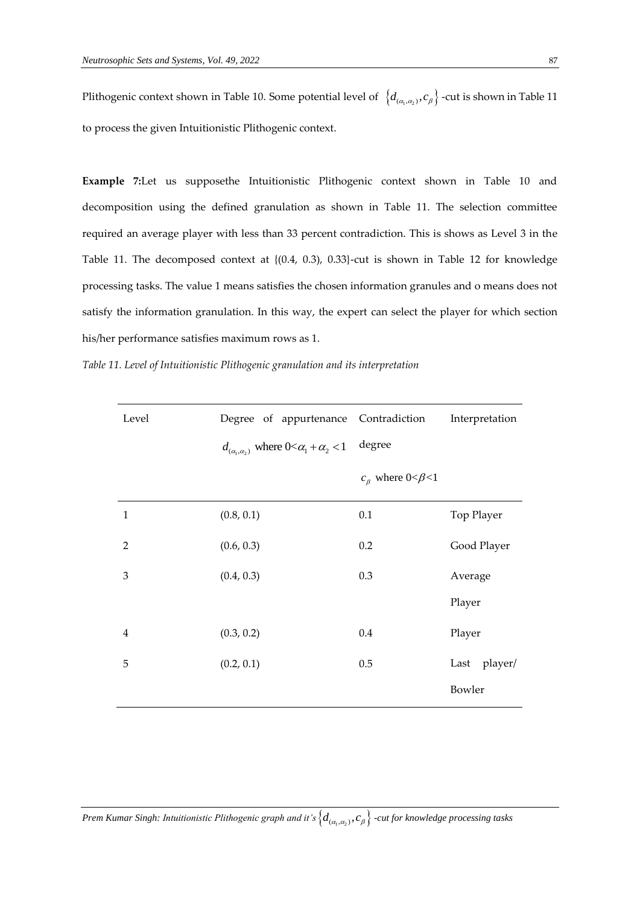Plithogenic context shown in Table 10. Some potential level of  $\{d_{(\alpha_1,\alpha_2)},c_\beta\}$  -cut is shown in Table 11 to process the given Intuitionistic Plithogenic context.

**Example 7:**Let us supposethe Intuitionistic Plithogenic context shown in Table 10 and decomposition using the defined granulation as shown in Table 11. The selection committee required an average player with less than 33 percent contradiction. This is shows as Level 3 in the Table 11. The decomposed context at {(0.4, 0.3), 0.33}-cut is shown in Table 12 for knowledge processing tasks. The value 1 means satisfies the chosen information granules and o means does not satisfy the information granulation. In this way, the expert can select the player for which section his/her performance satisfies maximum rows as 1.

| Table 11. Level of Intuitionistic Plithogenic granulation and its interpretation |  |  |  |  |  |  |
|----------------------------------------------------------------------------------|--|--|--|--|--|--|
|----------------------------------------------------------------------------------|--|--|--|--|--|--|

| Level          | Degree of appurtenance                                  | Contradiction                 | Interpretation  |
|----------------|---------------------------------------------------------|-------------------------------|-----------------|
|                | $d_{(\alpha_1,\alpha_2)}$ where $0<\alpha_1+\alpha_2<1$ | degree                        |                 |
|                |                                                         | $c_{\beta}$ where $0<\beta<1$ |                 |
| $\mathbf{1}$   | (0.8, 0.1)                                              | 0.1                           | Top Player      |
| $\overline{2}$ | (0.6, 0.3)                                              | 0.2                           | Good Player     |
| 3              | (0.4, 0.3)                                              | 0.3                           | Average         |
|                |                                                         |                               | Player          |
| $\overline{4}$ | (0.3, 0.2)                                              | 0.4                           | Player          |
| 5              | (0.2, 0.1)                                              | 0.5                           | player/<br>Last |
|                |                                                         |                               | Bowler          |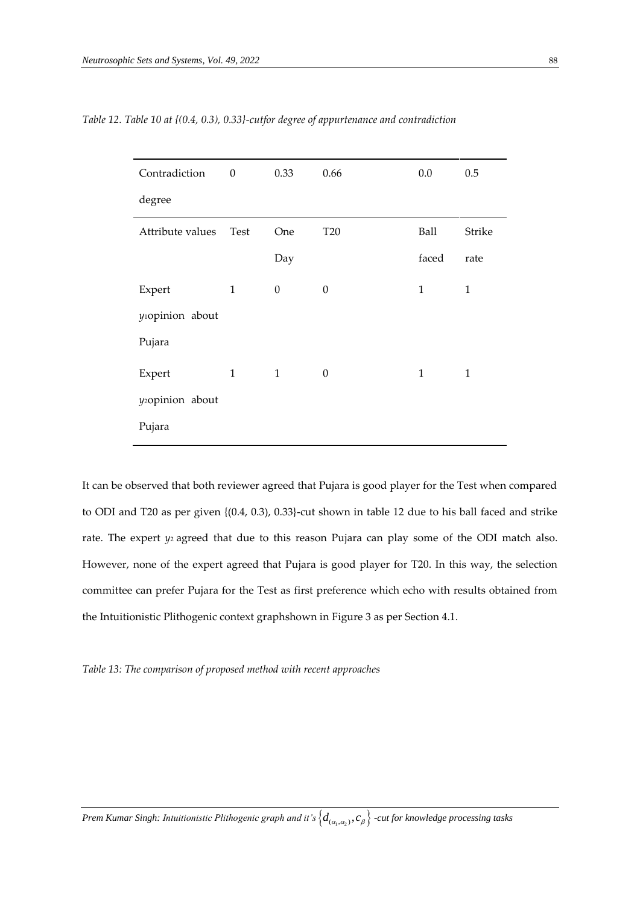| Contradiction                | $\boldsymbol{0}$ | 0.33             | 0.66       | 0.0          | 0.5          |
|------------------------------|------------------|------------------|------------|--------------|--------------|
| degree                       |                  |                  |            |              |              |
| Attribute values             | Test             | One              | <b>T20</b> | Ball         | Strike       |
|                              |                  | Day              |            | faced        | rate         |
| Expert                       | $\mathbf{1}$     | $\boldsymbol{0}$ | $\theta$   | $\mathbf{1}$ | $\mathbf{1}$ |
| y <sub>1</sub> opinion about |                  |                  |            |              |              |
| Pujara                       |                  |                  |            |              |              |
| Expert                       | $\mathbf{1}$     | $\mathbf{1}$     | $\theta$   | $\mathbf{1}$ | $\mathbf{1}$ |
| y <sub>2</sub> opinion about |                  |                  |            |              |              |
| Pujara                       |                  |                  |            |              |              |

*Table 12. Table 10 at {(0.4, 0.3), 0.33}-cutfor degree of appurtenance and contradiction* 

It can be observed that both reviewer agreed that Pujara is good player for the Test when compared to ODI and T20 as per given {(0.4, 0.3), 0.33}-cut shown in table 12 due to his ball faced and strike rate. The expert *y*<sub>2</sub> agreed that due to this reason Pujara can play some of the ODI match also. However, none of the expert agreed that Pujara is good player for T20. In this way, the selection committee can prefer Pujara for the Test as first preference which echo with results obtained from the Intuitionistic Plithogenic context graphshown in Figure 3 as per Section 4.1.

*Table 13: The comparison of proposed method with recent approaches*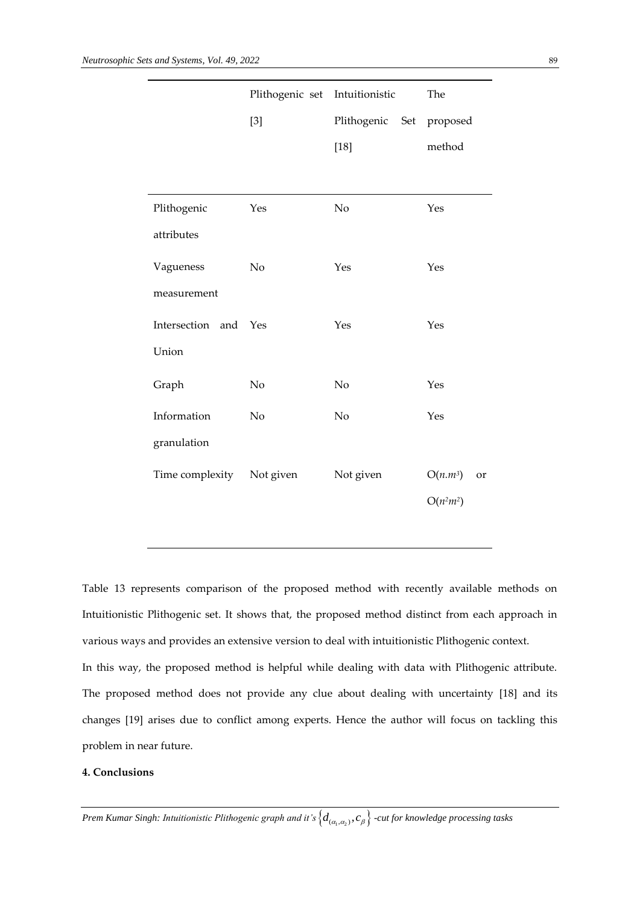|                           | Plithogenic set Intuitionistic |                          | The              |  |
|---------------------------|--------------------------------|--------------------------|------------------|--|
|                           | $[3]$                          | Plithogenic Set proposed |                  |  |
|                           |                                | $[18]$                   | method           |  |
|                           |                                |                          |                  |  |
| Plithogenic               | Yes                            | No                       | Yes              |  |
| attributes                |                                |                          |                  |  |
| Vagueness                 | No                             | Yes                      | Yes              |  |
| measurement               |                                |                          |                  |  |
| Intersection and          | Yes                            | Yes                      | Yes              |  |
| Union                     |                                |                          |                  |  |
| Graph                     | No                             | N <sub>o</sub>           | Yes              |  |
| Information               | No                             | No                       | Yes              |  |
| granulation               |                                |                          |                  |  |
| Time complexity Not given |                                | Not given                | $O(n.m^3)$<br>or |  |
|                           |                                |                          | $O(n^2m^2)$      |  |
|                           |                                |                          |                  |  |

Table 13 represents comparison of the proposed method with recently available methods on Intuitionistic Plithogenic set. It shows that, the proposed method distinct from each approach in various ways and provides an extensive version to deal with intuitionistic Plithogenic context. In this way, the proposed method is helpful while dealing with data with Plithogenic attribute. The proposed method does not provide any clue about dealing with uncertainty [18] and its changes [19] arises due to conflict among experts. Hence the author will focus on tackling this problem in near future.

## **4. Conclusions**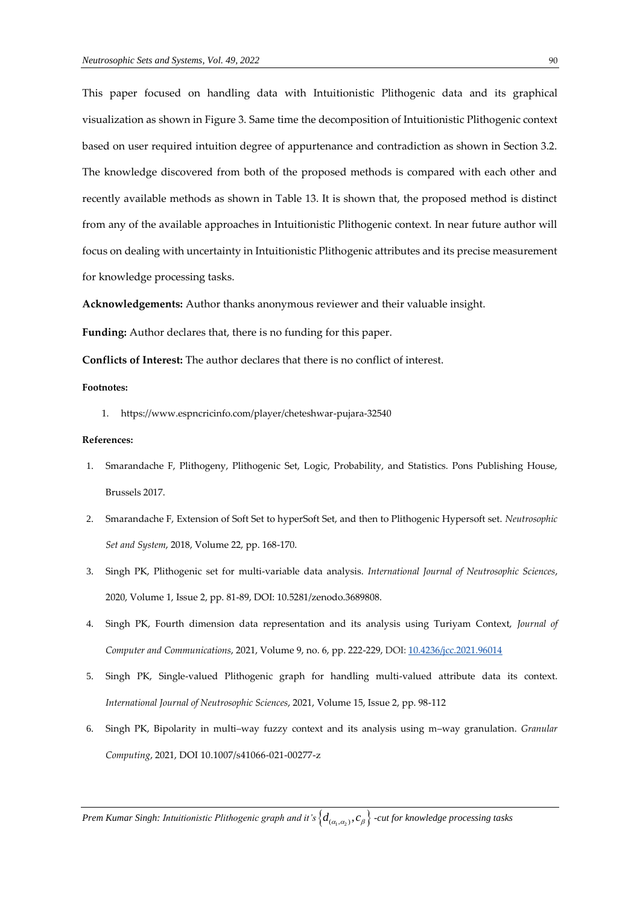This paper focused on handling data with Intuitionistic Plithogenic data and its graphical visualization as shown in Figure 3. Same time the decomposition of Intuitionistic Plithogenic context based on user required intuition degree of appurtenance and contradiction as shown in Section 3.2. The knowledge discovered from both of the proposed methods is compared with each other and recently available methods as shown in Table 13. It is shown that, the proposed method is distinct from any of the available approaches in Intuitionistic Plithogenic context. In near future author will focus on dealing with uncertainty in Intuitionistic Plithogenic attributes and its precise measurement for knowledge processing tasks.

**Acknowledgements:** Author thanks anonymous reviewer and their valuable insight.

**Funding:** Author declares that, there is no funding for this paper.

**Conflicts of Interest:** The author declares that there is no conflict of interest.

#### **Footnotes:**

1. <https://www.espncricinfo.com/player/cheteshwar-pujara-32540>

## **References:**

- 1. Smarandache F, Plithogeny, Plithogenic Set, Logic, Probability, and Statistics. Pons Publishing House, Brussels 2017.
- 2. Smarandache F, Extension of Soft Set to hyperSoft Set, and then to Plithogenic Hypersoft set. *Neutrosophic Set and System*, 2018, Volume 22, pp. 168-170.
- 3. Singh PK, Plithogenic set for multi-variable data analysis. *International Journal of Neutrosophic Sciences*, 2020, Volume 1, Issue 2, pp. 81-89, DOI: 10.5281/zenodo.3689808.
- 4. Singh PK, Fourth dimension data representation and its analysis using Turiyam Context, *Journal of Computer and Communications*, 2021, Volume 9, no. 6, pp. 222-229, DOI: [10.4236/jcc.2021.96014](https://doi.org/10.4236/jcc.2021.96014)
- 5. Singh PK, Single-valued Plithogenic graph for handling multi-valued attribute data its context. *International Journal of Neutrosophic Sciences*, 2021, Volume 15, Issue 2, pp. 98-112
- 6. Singh PK, Bipolarity in multi–way fuzzy context and its analysis using m–way granulation. *Granular Computing*, 2021, DOI 10.1007/s41066-021-00277-z